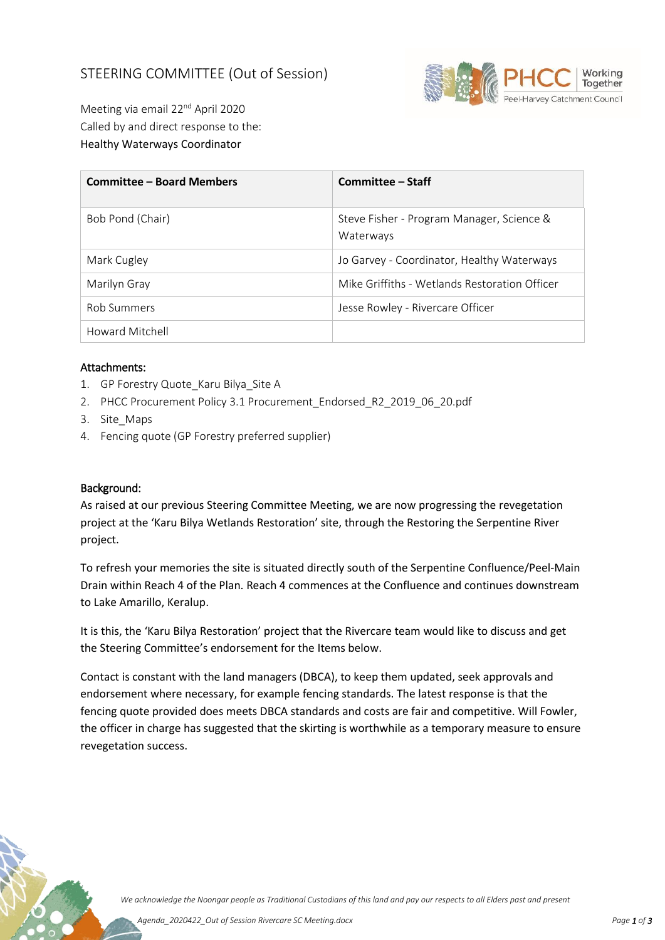## STEERING COMMITTEE (Out of Session)



Meeting via email 22nd April 2020 Called by and direct response to the: Healthy Waterways Coordinator

| <b>Committee - Board Members</b> | Committee – Staff                                                                           |  |
|----------------------------------|---------------------------------------------------------------------------------------------|--|
| Bob Pond (Chair)                 | Steve Fisher - Program Manager, Science &<br>Waterways                                      |  |
| Mark Cugley                      | Jo Garvey - Coordinator, Healthy Waterways<br>Mike Griffiths - Wetlands Restoration Officer |  |
| Marilyn Gray                     |                                                                                             |  |
| <b>Rob Summers</b>               | Jesse Rowley - Rivercare Officer                                                            |  |
| Howard Mitchell                  |                                                                                             |  |

## Attachments:

- 1. GP Forestry Quote Karu Bilya Site A
- 2. PHCC Procurement Policy 3.1 Procurement\_Endorsed\_R2\_2019\_06\_20.pdf
- 3. Site\_Maps
- 4. Fencing quote (GP Forestry preferred supplier)

## Background:

As raised at our previous Steering Committee Meeting, we are now progressing the revegetation project at the 'Karu Bilya Wetlands Restoration' site, through the Restoring the Serpentine River project.

To refresh your memories the site is situated directly south of the Serpentine Confluence/Peel-Main Drain within Reach 4 of the Plan. Reach 4 commences at the Confluence and continues downstream to Lake Amarillo, Keralup.

It is this, the 'Karu Bilya Restoration' project that the Rivercare team would like to discuss and get the Steering Committee's endorsement for the Items below.

Contact is constant with the land managers (DBCA), to keep them updated, seek approvals and endorsement where necessary, for example fencing standards. The latest response is that the fencing quote provided does meets DBCA standards and costs are fair and competitive. Will Fowler, the officer in charge has suggested that the skirting is worthwhile as a temporary measure to ensure revegetation success.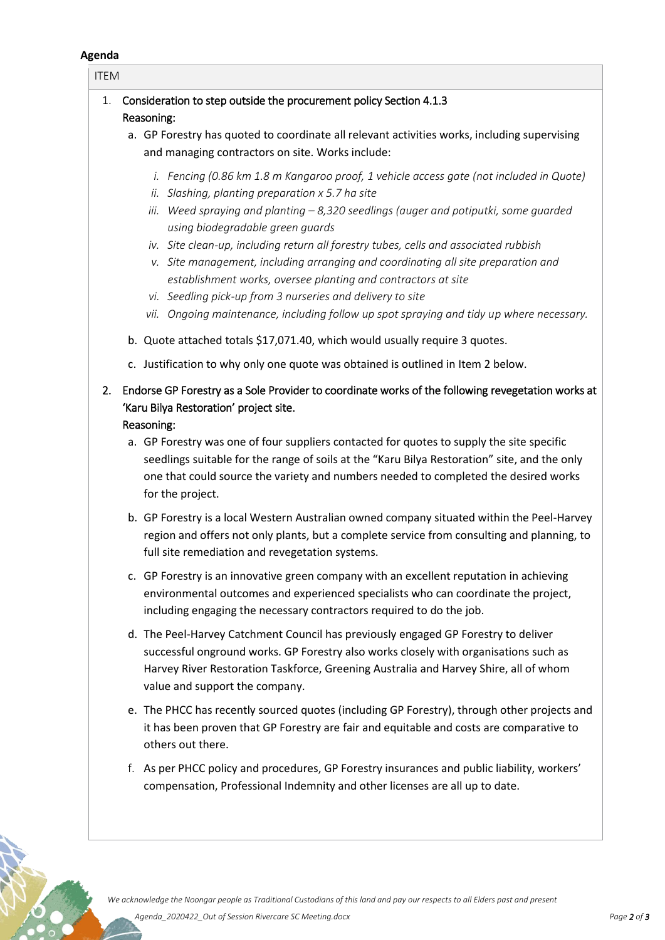## **Agenda**

| <b>ITEM</b>                                                                                                                                                                                                                                                                                                                                                                                                                                                                                                                                                                                                                                                                                                                                                     |
|-----------------------------------------------------------------------------------------------------------------------------------------------------------------------------------------------------------------------------------------------------------------------------------------------------------------------------------------------------------------------------------------------------------------------------------------------------------------------------------------------------------------------------------------------------------------------------------------------------------------------------------------------------------------------------------------------------------------------------------------------------------------|
| Consideration to step outside the procurement policy Section 4.1.3<br>1.<br>Reasoning:<br>a. GP Forestry has quoted to coordinate all relevant activities works, including supervising<br>and managing contractors on site. Works include:                                                                                                                                                                                                                                                                                                                                                                                                                                                                                                                      |
| i. Fencing (0.86 km 1.8 m Kangaroo proof, 1 vehicle access gate (not included in Quote)<br>ii. Slashing, planting preparation x 5.7 ha site<br>iii. Weed spraying and planting $-8,320$ seedlings (auger and potiputki, some guarded<br>using biodegradable green guards<br>iv. Site clean-up, including return all forestry tubes, cells and associated rubbish<br>v. Site management, including arranging and coordinating all site preparation and<br>establishment works, oversee planting and contractors at site<br>vi. Seedling pick-up from 3 nurseries and delivery to site<br>vii. Ongoing maintenance, including follow up spot spraying and tidy up where necessary.<br>b. Quote attached totals \$17,071.40, which would usually require 3 quotes. |
| c. Justification to why only one quote was obtained is outlined in Item 2 below.                                                                                                                                                                                                                                                                                                                                                                                                                                                                                                                                                                                                                                                                                |
| Endorse GP Forestry as a Sole Provider to coordinate works of the following revegetation works at<br>2.<br>'Karu Bilya Restoration' project site.<br>Reasoning:<br>a. GP Forestry was one of four suppliers contacted for quotes to supply the site specific<br>seedlings suitable for the range of soils at the "Karu Bilya Restoration" site, and the only<br>one that could source the variety and numbers needed to completed the desired works<br>for the project.                                                                                                                                                                                                                                                                                         |
| b. GP Forestry is a local Western Australian owned company situated within the Peel-Harvey<br>region and offers not only plants, but a complete service from consulting and planning, to<br>full site remediation and revegetation systems.                                                                                                                                                                                                                                                                                                                                                                                                                                                                                                                     |
| c. GP Forestry is an innovative green company with an excellent reputation in achieving<br>environmental outcomes and experienced specialists who can coordinate the project,<br>including engaging the necessary contractors required to do the job.                                                                                                                                                                                                                                                                                                                                                                                                                                                                                                           |
| d. The Peel-Harvey Catchment Council has previously engaged GP Forestry to deliver<br>successful onground works. GP Forestry also works closely with organisations such as<br>Harvey River Restoration Taskforce, Greening Australia and Harvey Shire, all of whom<br>value and support the company.                                                                                                                                                                                                                                                                                                                                                                                                                                                            |
| e. The PHCC has recently sourced quotes (including GP Forestry), through other projects and<br>it has been proven that GP Forestry are fair and equitable and costs are comparative to<br>others out there.                                                                                                                                                                                                                                                                                                                                                                                                                                                                                                                                                     |
| f. As per PHCC policy and procedures, GP Forestry insurances and public liability, workers'<br>compensation, Professional Indemnity and other licenses are all up to date.                                                                                                                                                                                                                                                                                                                                                                                                                                                                                                                                                                                      |

S. S. S. S.

 $\frac{1}{2}$